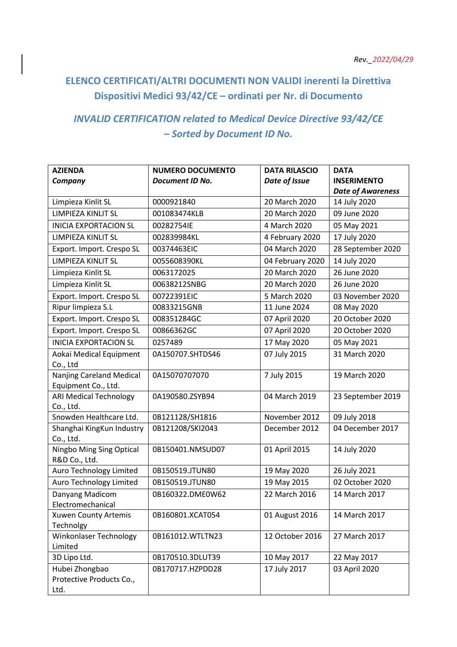## **ELENCO CERTIFICATI/ALTRI DOCUMENTI NON VALIDI inerenti la Direttiva Dispositivi Medici 93/42/CE – ordinati per Nr. di Documento**

## *INVALID CERTIFICATION related to Medical Device Directive 93/42/CE* **–** *Sorted by Document ID No.*

| <b>AZIENDA</b>                         | <b>NUMERO DOCUMENTO</b> | <b>DATA RILASCIO</b> | <b>DATA</b>              |
|----------------------------------------|-------------------------|----------------------|--------------------------|
| Company                                | Document ID No.         | Date of Issue        | <b>INSERIMENTO</b>       |
|                                        |                         |                      | <b>Date of Awareness</b> |
| Limpieza Kinlit SL                     | 0000921840              | 20 March 2020        | 14 July 2020             |
| LIMPIEZA KINLIT SL                     | 001083474KLB            | 20 March 2020        | 09 June 2020             |
| <b>INICIA EXPORTACION SL</b>           | 00282754IE              | 4 March 2020         | 05 May 2021              |
| LIMPIEZA KINLIT SL                     | 002839984KL             | 4 February 2020      | 17 July 2020             |
| Export. Import. Crespo SL              | 00374463EIC             | 04 March 2020        | 28 September 2020        |
| LIMPIEZA KINLIT SL                     | 0055608390KL            | 04 February 2020     | 14 July 2020             |
| Limpieza Kinlit SL                     | 0063172025              | 20 March 2020        | 26 June 2020             |
| Limpieza Kinlit SL                     | 00638212SNBG            | 20 March 2020        | 26 June 2020             |
| Export. Import. Crespo SL              | 00722391EIC             | 5 March 2020         | 03 November 2020         |
| Ripur limpieza S.L                     | 00833215GNB             | 11 June 2024         | 08 May 2020              |
| Export. Import. Crespo SL              | 008351284GC             | 07 April 2020        | 20 October 2020          |
| Export. Import. Crespo SL              | 00866362GC              | 07 April 2020        | 20 October 2020          |
| <b>INICIA EXPORTACION SL</b>           | 0257489                 | 17 May 2020          | 05 May 2021              |
| Aokai Medical Equipment                | 0A150707.SHTDS46        | 07 July 2015         | 31 March 2020            |
| Co., Ltd                               |                         |                      |                          |
| Nanjing Careland Medical               | 0A15070707070           | 7 July 2015          | 19 March 2020            |
| Equipment Co., Ltd.                    |                         |                      |                          |
| <b>ARI Medical Technology</b>          | 0A190580.ZSYB94         | 04 March 2019        | 23 September 2019        |
| Co., Ltd.                              |                         |                      |                          |
| Snowden Healthcare Ltd.                | 0B121128/SH1816         | November 2012        | 09 July 2018             |
| Shanghai KingKun Industry<br>Co., Ltd. | 0B121208/SKI2043        | December 2012        | 04 December 2017         |
| Ningbo Ming Sing Optical               | 0B150401.NMSUD07        | 01 April 2015        | 14 July 2020             |
| R&D Co., Ltd.                          |                         |                      |                          |
| Auro Technology Limited                | 0B150519.JTUN80         | 19 May 2020          | 26 July 2021             |
| Auro Technology Limited                | 0B150519.JTUN80         | 19 May 2015          | 02 October 2020          |
| Danyang Madicom                        | 0B160322.DME0W62        | 22 March 2016        | 14 March 2017            |
| Electromechanical                      |                         |                      |                          |
| Xuwen County Artemis                   | 0B160801.XCAT054        | 01 August 2016       | 14 March 2017            |
| Technolgy                              |                         |                      |                          |
| Winkonlaser Technology                 | 0B161012.WTLTN23        | 12 October 2016      | 27 March 2017            |
| Limited                                |                         |                      |                          |
| 3D Lipo Ltd.                           | 0B170510.3DLUT39        | 10 May 2017          | 22 May 2017              |
| Hubei Zhongbao                         | 0B170717.HZPDD28        | 17 July 2017         | 03 April 2020            |
| Protective Products Co.,               |                         |                      |                          |
| Ltd.                                   |                         |                      |                          |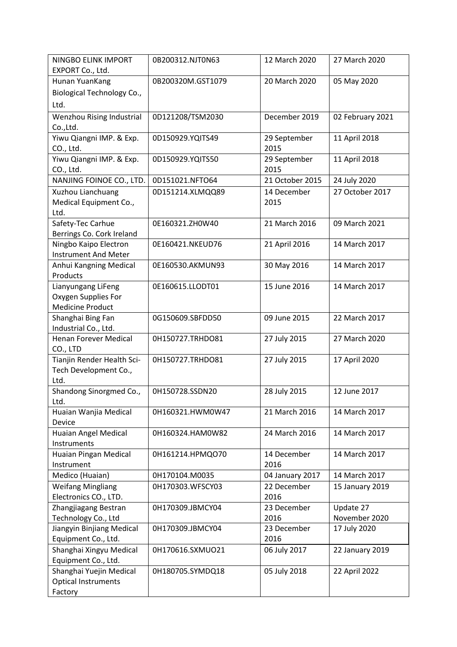| NINGBO ELINK IMPORT                                   | 0B200312.NJT0N63  | 12 March 2020   | 27 March 2020    |
|-------------------------------------------------------|-------------------|-----------------|------------------|
| EXPORT Co., Ltd.                                      |                   |                 |                  |
| Hunan YuanKang                                        | 0B200320M.GST1079 | 20 March 2020   | 05 May 2020      |
| <b>Biological Technology Co.,</b>                     |                   |                 |                  |
| Ltd.                                                  |                   |                 |                  |
| Wenzhou Rising Industrial                             | 0D121208/TSM2030  | December 2019   | 02 February 2021 |
| Co., Ltd.                                             |                   |                 |                  |
| Yiwu Qiangni IMP. & Exp.                              | 0D150929.YQITS49  | 29 September    | 11 April 2018    |
| CO., Ltd.                                             |                   | 2015            |                  |
| Yiwu Qiangni IMP. & Exp.                              | 0D150929.YQITS50  | 29 September    | 11 April 2018    |
| CO., Ltd.                                             |                   | 2015            |                  |
| NANJING FOINOE CO., LTD.                              | 0D151021.NFTO64   | 21 October 2015 | 24 July 2020     |
| Xuzhou Lianchuang                                     | 0D151214.XLMQQ89  | 14 December     | 27 October 2017  |
| Medical Equipment Co.,                                |                   | 2015            |                  |
| Ltd.                                                  |                   |                 |                  |
| Safety-Tec Carhue                                     | 0E160321.ZH0W40   | 21 March 2016   | 09 March 2021    |
| Berrings Co. Cork Ireland                             |                   |                 |                  |
| Ningbo Kaipo Electron                                 | 0E160421.NKEUD76  | 21 April 2016   | 14 March 2017    |
| <b>Instrument And Meter</b>                           |                   |                 |                  |
| Anhui Kangning Medical                                | 0E160530.AKMUN93  | 30 May 2016     | 14 March 2017    |
| Products                                              |                   |                 |                  |
| Lianyungang LiFeng                                    | 0E160615.LLODT01  | 15 June 2016    | 14 March 2017    |
| Oxygen Supplies For                                   |                   |                 |                  |
| <b>Medicine Product</b>                               |                   |                 |                  |
| Shanghai Bing Fan<br>Industrial Co., Ltd.             | 0G150609.SBFDD50  | 09 June 2015    | 22 March 2017    |
| <b>Henan Forever Medical</b>                          | 0H150727.TRHDO81  | 27 July 2015    | 27 March 2020    |
| CO., LTD                                              |                   |                 |                  |
| Tianjin Render Health Sci-                            | 0H150727.TRHDO81  | 27 July 2015    | 17 April 2020    |
| Tech Development Co.,                                 |                   |                 |                  |
| Ltd.                                                  |                   |                 |                  |
| Shandong Sinorgmed Co.,                               | 0H150728.SSDN20   | 28 July 2015    | 12 June 2017     |
| Ltd.                                                  |                   |                 |                  |
| Huaian Wanjia Medical                                 | 0H160321.HWM0W47  | 21 March 2016   | 14 March 2017    |
| Device                                                |                   |                 |                  |
| Huaian Angel Medical                                  | 0H160324.HAM0W82  | 24 March 2016   | 14 March 2017    |
| Instruments                                           |                   |                 |                  |
| Huaian Pingan Medical                                 | 0H161214.HPMQO70  | 14 December     | 14 March 2017    |
| Instrument                                            |                   | 2016            |                  |
| Medico (Huaian)                                       | 0H170104.M0035    | 04 January 2017 | 14 March 2017    |
| <b>Weifang Mingliang</b>                              | 0H170303.WFSCY03  | 22 December     | 15 January 2019  |
| Electronics CO., LTD.                                 |                   | 2016            |                  |
| Zhangjiagang Bestran                                  | 0H170309.JBMCY04  | 23 December     | Update 27        |
| Technology Co., Ltd                                   |                   | 2016            | November 2020    |
| Jiangyin Binjiang Medical                             | 0H170309.JBMCY04  | 23 December     | 17 July 2020     |
| Equipment Co., Ltd.                                   |                   | 2016            |                  |
| Shanghai Xingyu Medical                               | 0H170616.SXMUO21  | 06 July 2017    | 22 January 2019  |
| Equipment Co., Ltd.                                   |                   |                 |                  |
| Shanghai Yuejin Medical<br><b>Optical Instruments</b> | 0H180705.SYMDQ18  | 05 July 2018    | 22 April 2022    |
| Factory                                               |                   |                 |                  |
|                                                       |                   |                 |                  |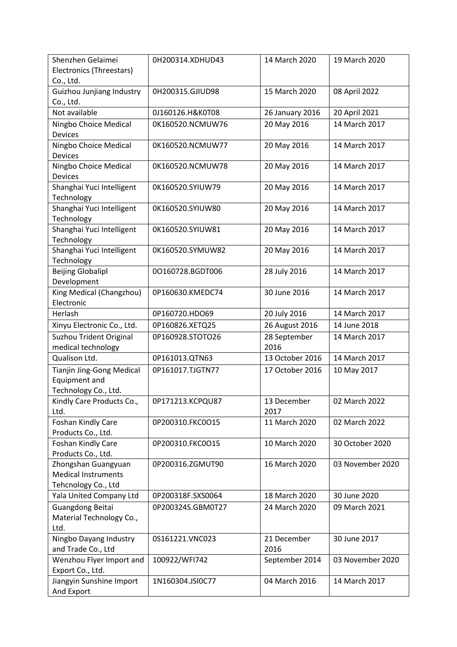| Shenzhen Gelaimei<br>Electronics (Threestars)                             | 0H200314.XDHUD43  | 14 March 2020        | 19 March 2020    |
|---------------------------------------------------------------------------|-------------------|----------------------|------------------|
| Co., Ltd.<br>Guizhou Junjiang Industry                                    | 0H200315.GJIUD98  | 15 March 2020        | 08 April 2022    |
| Co., Ltd.<br>Not available                                                |                   |                      |                  |
|                                                                           | 0J160126.H&K0T08  | 26 January 2016      | 20 April 2021    |
| Ningbo Choice Medical<br><b>Devices</b>                                   | 0K160520.NCMUW76  | 20 May 2016          | 14 March 2017    |
| Ningbo Choice Medical<br>Devices                                          | 0K160520.NCMUW77  | 20 May 2016          | 14 March 2017    |
| Ningbo Choice Medical<br><b>Devices</b>                                   | 0K160520.NCMUW78  | 20 May 2016          | 14 March 2017    |
| Shanghai Yuci Intelligent<br>Technology                                   | 0K160520.SYIUW79  | 20 May 2016          | 14 March 2017    |
| Shanghai Yuci Intelligent<br>Technology                                   | 0K160520.SYIUW80  | 20 May 2016          | 14 March 2017    |
| Shanghai Yuci Intelligent                                                 | 0K160520.SYIUW81  | 20 May 2016          | 14 March 2017    |
| Technology<br>Shanghai Yuci Intelligent<br>Technology                     | 0K160520.SYMUW82  | 20 May 2016          | 14 March 2017    |
| <b>Beijing Globalipl</b><br>Development                                   | 00160728.BGDT006  | 28 July 2016         | 14 March 2017    |
| King Medical (Changzhou)<br>Electronic                                    | 0P160630.KMEDC74  | 30 June 2016         | 14 March 2017    |
| Herlash                                                                   | 0P160720.HDO69    | 20 July 2016         | 14 March 2017    |
| Xinyu Electronic Co., Ltd.                                                | 0P160826.XETQ25   | 26 August 2016       | 14 June 2018     |
| Suzhou Trident Original<br>medical technology                             | 0P160928.STOTO26  | 28 September<br>2016 | 14 March 2017    |
| Qualison Ltd.                                                             | 0P161013.QTN63    | 13 October 2016      | 14 March 2017    |
| <b>Tianjin Jing-Gong Medical</b><br>Equipment and<br>Technology Co., Ltd. | 0P161017.TJGTN77  | 17 October 2016      | 10 May 2017      |
| Kindly Care Products Co.,<br>Ltd.                                         | 0P171213.KCPQU87  | 13 December<br>2017  | 02 March 2022    |
| Foshan Kindly Care<br>Products Co., Ltd.                                  | 0P200310.FKC0O15  | 11 March 2020        | 02 March 2022    |
| Foshan Kindly Care<br>Products Co., Ltd.                                  | 0P200310.FKC0O15  | 10 March 2020        | 30 October 2020  |
| Zhongshan Guangyuan<br><b>Medical Instruments</b><br>Tehcnology Co., Ltd  | 0P200316.ZGMUT90  | 16 March 2020        | 03 November 2020 |
| Yala United Company Ltd                                                   | 0P200318F.SXS0064 | 18 March 2020        | 30 June 2020     |
| Guangdong Beitai<br>Material Technology Co.,<br>Ltd.                      | 0P200324S.GBM0T27 | 24 March 2020        | 09 March 2021    |
| Ningbo Dayang Industry<br>and Trade Co., Ltd                              | 0S161221.VNC023   | 21 December<br>2016  | 30 June 2017     |
| Wenzhou Flyer Import and<br>Export Co., Ltd.                              | 100922/WFI742     | September 2014       | 03 November 2020 |
| Jiangyin Sunshine Import<br>And Export                                    | 1N160304.JSI0C77  | 04 March 2016        | 14 March 2017    |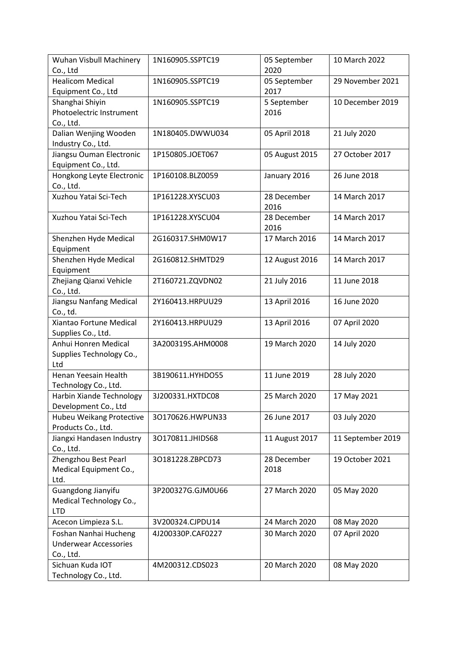| Wuhan Visbull Machinery      | 1N160905.SSPTC19  | 05 September   | 10 March 2022     |
|------------------------------|-------------------|----------------|-------------------|
| Co., Ltd                     |                   | 2020           |                   |
| <b>Healicom Medical</b>      | 1N160905.SSPTC19  | 05 September   | 29 November 2021  |
| Equipment Co., Ltd           |                   | 2017           |                   |
| Shanghai Shiyin              | 1N160905.SSPTC19  | 5 September    | 10 December 2019  |
| Photoelectric Instrument     |                   | 2016           |                   |
| Co., Ltd.                    |                   |                |                   |
| Dalian Wenjing Wooden        | 1N180405.DWWU034  | 05 April 2018  | 21 July 2020      |
| Industry Co., Ltd.           |                   |                |                   |
| Jiangsu Ouman Electronic     | 1P150805.JOET067  | 05 August 2015 | 27 October 2017   |
| Equipment Co., Ltd.          |                   |                |                   |
| Hongkong Leyte Electronic    | 1P160108.BLZ0059  | January 2016   | 26 June 2018      |
| Co., Ltd.                    |                   |                |                   |
| Xuzhou Yatai Sci-Tech        | 1P161228.XYSCU03  | 28 December    | 14 March 2017     |
|                              |                   | 2016           |                   |
| Xuzhou Yatai Sci-Tech        | 1P161228.XYSCU04  | 28 December    | 14 March 2017     |
|                              |                   | 2016           |                   |
| Shenzhen Hyde Medical        | 2G160317.SHM0W17  | 17 March 2016  | 14 March 2017     |
| Equipment                    |                   |                |                   |
| Shenzhen Hyde Medical        | 2G160812.SHMTD29  | 12 August 2016 | 14 March 2017     |
| Equipment                    |                   |                |                   |
| Zhejiang Qianxi Vehicle      | 2T160721.ZQVDN02  | 21 July 2016   | 11 June 2018      |
| Co., Ltd.                    |                   |                |                   |
| Jiangsu Nanfang Medical      | 2Y160413.HRPUU29  | 13 April 2016  | 16 June 2020      |
| Co., td.                     |                   |                |                   |
| Xiantao Fortune Medical      | 2Y160413.HRPUU29  | 13 April 2016  | 07 April 2020     |
| Supplies Co., Ltd.           |                   |                |                   |
| Anhui Honren Medical         | 3A200319S.AHM0008 | 19 March 2020  | 14 July 2020      |
| Supplies Technology Co.,     |                   |                |                   |
| Ltd                          |                   |                |                   |
| Henan Yeesain Health         | 3B190611.HYHDO55  | 11 June 2019   | 28 July 2020      |
| Technology Co., Ltd.         |                   |                |                   |
| Harbin Xiande Technology     | 3J200331.HXTDC08  | 25 March 2020  | 17 May 2021       |
| Development Co., Ltd         |                   |                |                   |
| Hubeu Weikang Protective     | 30170626.HWPUN33  | 26 June 2017   | 03 July 2020      |
| Products Co., Ltd.           |                   |                |                   |
| Jiangxi Handasen Industry    | 30170811.JHIDS68  | 11 August 2017 | 11 September 2019 |
| Co., Ltd.                    |                   |                |                   |
| Zhengzhou Best Pearl         | 30181228.ZBPCD73  | 28 December    | 19 October 2021   |
| Medical Equipment Co.,       |                   | 2018           |                   |
| Ltd.                         |                   |                |                   |
| Guangdong Jianyifu           | 3P200327G.GJM0U66 | 27 March 2020  | 05 May 2020       |
| Medical Technology Co.,      |                   |                |                   |
| <b>LTD</b>                   |                   |                |                   |
| Acecon Limpieza S.L.         | 3V200324.CJPDU14  | 24 March 2020  | 08 May 2020       |
| Foshan Nanhai Hucheng        | 4J200330P.CAF0227 | 30 March 2020  | 07 April 2020     |
| <b>Underwear Accessories</b> |                   |                |                   |
| Co., Ltd.                    |                   |                |                   |
| Sichuan Kuda IOT             | 4M200312.CDS023   | 20 March 2020  | 08 May 2020       |
| Technology Co., Ltd.         |                   |                |                   |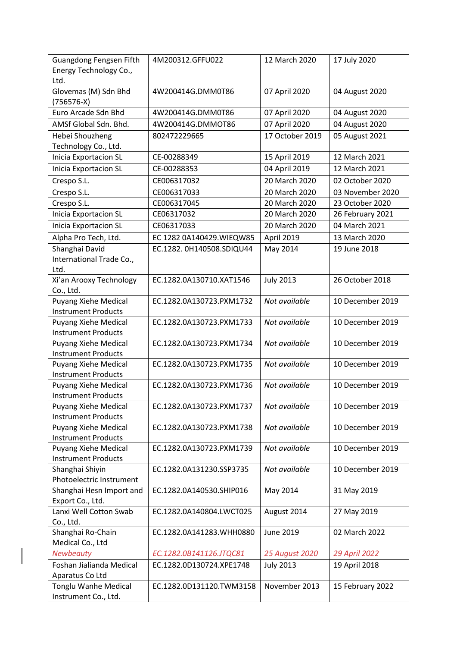| <b>Guangdong Fengsen Fifth</b><br>Energy Technology Co., | 4M200312.GFFU022          | 12 March 2020    | 17 July 2020     |
|----------------------------------------------------------|---------------------------|------------------|------------------|
| Ltd.                                                     |                           |                  |                  |
| Glovemas (M) Sdn Bhd<br>(756576-X)                       | 4W200414G.DMM0T86         | 07 April 2020    | 04 August 2020   |
| Euro Arcade Sdn Bhd                                      | 4W200414G.DMM0T86         | 07 April 2020    | 04 August 2020   |
| AMSf Global Sdn. Bhd.                                    | 4W200414G.DMMOT86         | 07 April 2020    | 04 August 2020   |
| Hebei Shouzheng                                          | 802472229665              | 17 October 2019  | 05 August 2021   |
| Technology Co., Ltd.                                     |                           |                  |                  |
| <b>Inicia Exportacion SL</b>                             | CE-00288349               | 15 April 2019    | 12 March 2021    |
| <b>Inicia Exportacion SL</b>                             | CE-00288353               | 04 April 2019    | 12 March 2021    |
| Crespo S.L.                                              | CE006317032               | 20 March 2020    | 02 October 2020  |
| Crespo S.L.                                              | CE006317033               | 20 March 2020    | 03 November 2020 |
| Crespo S.L.                                              | CE006317045               | 20 March 2020    | 23 October 2020  |
| <b>Inicia Exportacion SL</b>                             | CE06317032                | 20 March 2020    | 26 February 2021 |
| <b>Inicia Exportacion SL</b>                             | CE06317033                | 20 March 2020    | 04 March 2021    |
| Alpha Pro Tech, Ltd.                                     | EC 1282 0A140429. WIEQW85 | April 2019       | 13 March 2020    |
| Shanghai David                                           | EC.1282.0H140508.SDIQU44  | May 2014         | 19 June 2018     |
| International Trade Co.,                                 |                           |                  |                  |
| Ltd.                                                     |                           |                  |                  |
| Xi'an Arooxy Technology                                  | EC.1282.0A130710.XAT1546  | <b>July 2013</b> | 26 October 2018  |
| Co., Ltd.                                                |                           |                  |                  |
| <b>Puyang Xiehe Medical</b>                              | EC.1282.0A130723.PXM1732  | Not available    | 10 December 2019 |
| <b>Instrument Products</b>                               |                           |                  |                  |
| <b>Puyang Xiehe Medical</b>                              | EC.1282.0A130723.PXM1733  | Not available    | 10 December 2019 |
| <b>Instrument Products</b>                               |                           | Not available    | 10 December 2019 |
| Puyang Xiehe Medical<br><b>Instrument Products</b>       | EC.1282.0A130723.PXM1734  |                  |                  |
| Puyang Xiehe Medical                                     | EC.1282.0A130723.PXM1735  | Not available    | 10 December 2019 |
| <b>Instrument Products</b>                               |                           |                  |                  |
| Puyang Xiehe Medical                                     | EC.1282.0A130723.PXM1736  | Not available    | 10 December 2019 |
| <b>Instrument Products</b>                               |                           |                  |                  |
| <b>Puyang Xiehe Medical</b>                              | EC.1282.0A130723.PXM1737  | Not available    | 10 December 2019 |
| <b>Instrument Products</b>                               |                           |                  |                  |
| Puyang Xiehe Medical                                     | EC.1282.0A130723.PXM1738  | Not available    | 10 December 2019 |
| <b>Instrument Products</b>                               |                           |                  |                  |
| Puyang Xiehe Medical                                     | EC.1282.0A130723.PXM1739  | Not available    | 10 December 2019 |
| <b>Instrument Products</b>                               |                           |                  |                  |
| Shanghai Shiyin<br>Photoelectric Instrument              | EC.1282.0A131230.SSP3735  | Not available    | 10 December 2019 |
| Shanghai Hesn Import and                                 | EC.1282.0A140530.SHIP016  |                  |                  |
| Export Co., Ltd.                                         |                           | May 2014         | 31 May 2019      |
| Lanxi Well Cotton Swab                                   | EC.1282.0A140804.LWCT025  | August 2014      | 27 May 2019      |
| Co., Ltd.                                                |                           |                  |                  |
| Shanghai Ro-Chain                                        | EC.1282.0A141283.WHH0880  | <b>June 2019</b> | 02 March 2022    |
| Medical Co., Ltd                                         |                           |                  |                  |
| Newbeauty                                                | EC.1282.0B141126.JTQC81   | 25 August 2020   | 29 April 2022    |
| Foshan Jialianda Medical                                 | EC.1282.0D130724.XPE1748  | <b>July 2013</b> | 19 April 2018    |
| Aparatus Co Ltd                                          |                           |                  |                  |
| Tonglu Wanhe Medical                                     | EC.1282.0D131120.TWM3158  | November 2013    | 15 February 2022 |
| Instrument Co., Ltd.                                     |                           |                  |                  |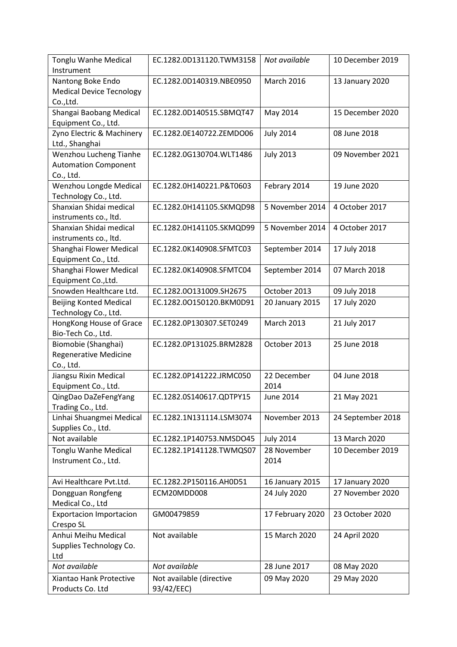| <b>Tonglu Wanhe Medical</b><br>Instrument       | EC.1282.0D131120.TWM3158 | Not available     | 10 December 2019  |
|-------------------------------------------------|--------------------------|-------------------|-------------------|
| Nantong Boke Endo                               | EC.1282.0D140319.NBE0950 | <b>March 2016</b> | 13 January 2020   |
| <b>Medical Device Tecnology</b>                 |                          |                   |                   |
| Co., Ltd.                                       |                          |                   |                   |
| Shangai Baobang Medical                         | EC.1282.0D140515.SBMQT47 | May 2014          | 15 December 2020  |
| Equipment Co., Ltd.                             |                          |                   |                   |
| Zyno Electric & Machinery                       | EC.1282.0E140722.ZEMDO06 | <b>July 2014</b>  | 08 June 2018      |
| Ltd., Shanghai                                  |                          |                   |                   |
| Wenzhou Lucheng Tianhe                          | EC.1282.0G130704.WLT1486 | <b>July 2013</b>  | 09 November 2021  |
| <b>Automation Component</b>                     |                          |                   |                   |
| Co., Ltd.                                       |                          |                   |                   |
| Wenzhou Longde Medical                          | EC.1282.0H140221.P&T0603 | Febrary 2014      | 19 June 2020      |
| Technology Co., Ltd.                            |                          |                   |                   |
| Shanxian Shidai medical                         | EC.1282.0H141105.SKMQD98 | 5 November 2014   | 4 October 2017    |
| instruments co., ltd.                           |                          |                   |                   |
| Shanxian Shidai medical                         | EC.1282.0H141105.SKMQD99 | 5 November 2014   | 4 October 2017    |
| instruments co., ltd.                           |                          |                   |                   |
| Shanghai Flower Medical                         | EC.1282.0K140908.SFMTC03 | September 2014    | 17 July 2018      |
| Equipment Co., Ltd.                             |                          |                   |                   |
| Shanghai Flower Medical                         | EC.1282.0K140908.SFMTC04 | September 2014    | 07 March 2018     |
| Equipment Co., Ltd.                             |                          |                   |                   |
| Snowden Healthcare Ltd.                         | EC.1282.00131009.SH2675  | October 2013      | 09 July 2018      |
| <b>Beijing Konted Medical</b>                   | EC.1282.00150120.BKM0D91 | 20 January 2015   | 17 July 2020      |
| Technology Co., Ltd.<br>HongKong House of Grace | EC.1282.0P130307.SET0249 | <b>March 2013</b> | 21 July 2017      |
| Bio-Tech Co., Ltd.                              |                          |                   |                   |
| Biomobie (Shanghai)                             | EC.1282.0P131025.BRM2828 | October 2013      | 25 June 2018      |
| <b>Regenerative Medicine</b>                    |                          |                   |                   |
| Co., Ltd.                                       |                          |                   |                   |
| Jiangsu Rixin Medical                           | EC.1282.0P141222.JRMC050 | 22 December       | 04 June 2018      |
| Equipment Co., Ltd.                             |                          | 2014              |                   |
| QingDao DaZeFengYang                            | EC.1282.0S140617.QDTPY15 | June 2014         | 21 May 2021       |
| Trading Co., Ltd.                               |                          |                   |                   |
| Linhai Shuangmei Medical                        | EC.1282.1N131114.LSM3074 | November 2013     | 24 September 2018 |
| Supplies Co., Ltd.                              |                          |                   |                   |
| Not available                                   | EC.1282.1P140753.NMSDO45 | <b>July 2014</b>  | 13 March 2020     |
| Tonglu Wanhe Medical                            | EC.1282.1P141128.TWMQS07 | 28 November       | 10 December 2019  |
| Instrument Co., Ltd.                            |                          | 2014              |                   |
|                                                 |                          |                   |                   |
| Avi Healthcare Pvt.Ltd.                         | EC.1282.2P150116.AH0D51  | 16 January 2015   | 17 January 2020   |
| Dongguan Rongfeng                               | ECM20MDD008              | 24 July 2020      | 27 November 2020  |
| Medical Co., Ltd                                |                          |                   |                   |
| <b>Exportacion Importacion</b><br>Crespo SL     | GM00479859               | 17 February 2020  | 23 October 2020   |
| Anhui Meihu Medical                             | Not available            | 15 March 2020     | 24 April 2020     |
| Supplies Technology Co.                         |                          |                   |                   |
| Ltd                                             |                          |                   |                   |
| Not available                                   | Not available            | 28 June 2017      | 08 May 2020       |
| Xiantao Hank Protective                         | Not available (directive | 09 May 2020       | 29 May 2020       |
| Products Co. Ltd                                | 93/42/EEC)               |                   |                   |